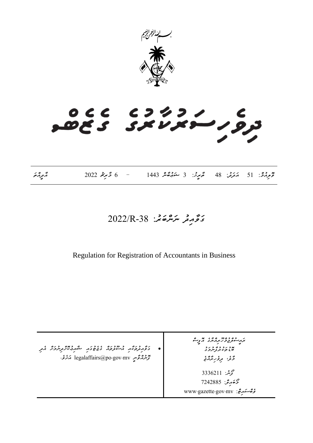

# CC CJ4J/<br>CS SXVXI JJ

|                   | $2022$ خمریم $6 -$ |                                                                  |  |
|-------------------|--------------------|------------------------------------------------------------------|--|
| پر وه پر<br>مربره |                    | تَحْرِمُ \$: 51 مَعَرَّمْ: 48 مَّحِرِثْ: 3 مَعَهُمَّةٌ 1443 1443 |  |

### *ގަވާއިދު ނަންބަރ:ު -38R2022/*

Regulation for Registration of Accountants in Business

• *ގަވާއިދުތަކާއި އުސޫލުތައް ގެޒެޓުގައި ޝާއިޢުކޮށްދިނުމަށް އެދި ފޮނުއްވާނީ mv.gov.po@legalaffairs އަށެވ.ެ ރައީސުލްޖުމްހޫރިއްޔާގެ އޮފީސް ބޮޑުތަކުރުފާނުމަގު*  <sup>ی ٤</sup> <sup>٤ ٥ ي</sup><br>څو<sup>،</sup> ترور ترور محمد بن: 3336211 *މޯބައިލ:ް 7242885 ވެބްސައިޓ:ް mv.gov.gazette.www*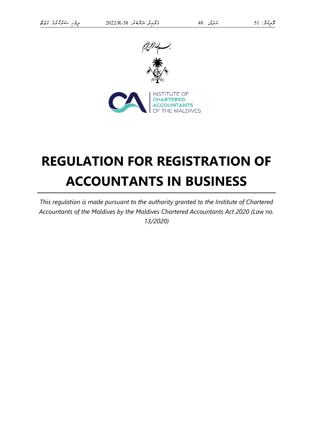

## **REGULATION FOR REGISTRATION OF ACCOUNTANTS IN BUSINESS**

*This regulation is made pursuant to the authority granted to the Institute of Chartered Accountants of the Maldives by the Maldives Chartered Accountants Act 2020 (Law no. 13/2020)*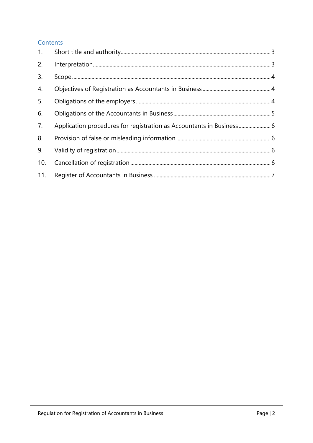#### Contents

| 2.  |                                                                      |  |
|-----|----------------------------------------------------------------------|--|
| 3.  |                                                                      |  |
| 4.  |                                                                      |  |
| 5.  |                                                                      |  |
| 6.  |                                                                      |  |
| 7.  | Application procedures for registration as Accountants in Business 6 |  |
| 8.  |                                                                      |  |
| 9.  |                                                                      |  |
| 10. |                                                                      |  |
| 11. |                                                                      |  |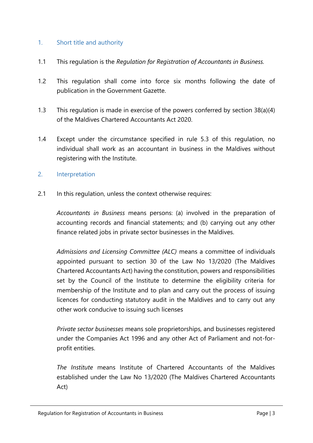#### <span id="page-4-0"></span>1. Short title and authority

- 1.1 This regulation is the *Regulation for Registration of Accountants in Business.*
- 1.2 This regulation shall come into force six months following the date of publication in the Government Gazette.
- 1.3 This regulation is made in exercise of the powers conferred by section 38(a)(4) of the Maldives Chartered Accountants Act 2020.
- 1.4 Except under the circumstance specified in rule 5.3 of this regulation, no individual shall work as an accountant in business in the Maldives without registering with the Institute.

#### <span id="page-4-1"></span>2. Interpretation

2.1 In this regulation, unless the context otherwise requires:

*Accountants in Business* means persons: (a) involved in the preparation of accounting records and financial statements; and (b) carrying out any other finance related jobs in private sector businesses in the Maldives.

*Admissions and Licensing Committee (ALC)* means a committee of individuals appointed pursuant to section 30 of the Law No 13/2020 (The Maldives Chartered Accountants Act) having the constitution, powers and responsibilities set by the Council of the Institute to determine the eligibility criteria for membership of the Institute and to plan and carry out the process of issuing licences for conducting statutory audit in the Maldives and to carry out any other work conducive to issuing such licenses

*Private sector businesses* means sole proprietorships, and businesses registered under the Companies Act 1996 and any other Act of Parliament and not-forprofit entities.

*The Institute* means Institute of Chartered Accountants of the Maldives established under the Law No 13/2020 (The Maldives Chartered Accountants Act)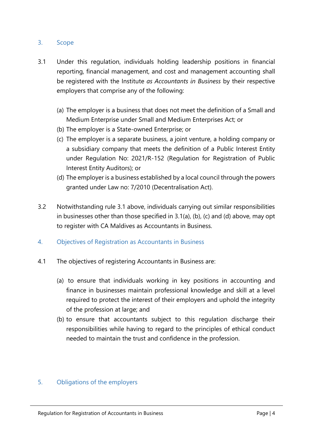#### <span id="page-5-0"></span>3. Scope

- 3.1 Under this regulation, individuals holding leadership positions in financial reporting, financial management, and cost and management accounting shall be registered with the Institute *as Accountants in Business* by their respective employers that comprise any of the following:
	- (a) The employer is a business that does not meet the definition of a Small and Medium Enterprise under Small and Medium Enterprises Act; or
	- (b) The employer is a State-owned Enterprise; or
	- (c) The employer is a separate business, a joint venture, a holding company or a subsidiary company that meets the definition of a Public Interest Entity under Regulation No: 2021/R-152 (Regulation for Registration of Public Interest Entity Auditors); or
	- (d) The employer is a business established by a local council through the powers granted under Law no: 7/2010 (Decentralisation Act).
- 3.2 Notwithstanding rule 3.1 above, individuals carrying out similar responsibilities in businesses other than those specified in 3.1(a), (b), (c) and (d) above, may opt to register with CA Maldives as Accountants in Business.
- <span id="page-5-1"></span>4. Objectives of Registration as Accountants in Business
- 4.1 The objectives of registering Accountants in Business are:
	- (a) to ensure that individuals working in key positions in accounting and finance in businesses maintain professional knowledge and skill at a level required to protect the interest of their employers and uphold the integrity of the profession at large; and
	- (b) to ensure that accountants subject to this regulation discharge their responsibilities while having to regard to the principles of ethical conduct needed to maintain the trust and confidence in the profession.

#### <span id="page-5-2"></span>5. Obligations of the employers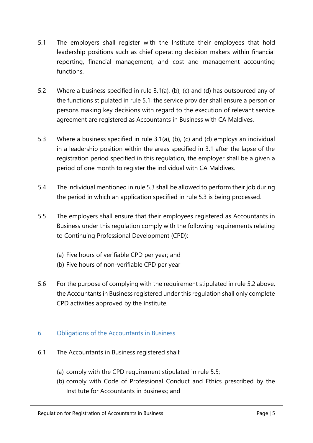- 5.1 The employers shall register with the Institute their employees that hold leadership positions such as chief operating decision makers within financial reporting, financial management, and cost and management accounting functions.
- 5.2 Where a business specified in rule 3.1(a), (b), (c) and (d) has outsourced any of the functions stipulated in rule 5.1, the service provider shall ensure a person or persons making key decisions with regard to the execution of relevant service agreement are registered as Accountants in Business with CA Maldives.
- 5.3 Where a business specified in rule 3.1(a), (b), (c) and (d) employs an individual in a leadership position within the areas specified in 3.1 after the lapse of the registration period specified in this regulation, the employer shall be a given a period of one month to register the individual with CA Maldives.
- 5.4 The individual mentioned in rule 5.3 shall be allowed to perform their job during the period in which an application specified in rule 5.3 is being processed.
- 5.5 The employers shall ensure that their employees registered as Accountants in Business under this regulation comply with the following requirements relating to Continuing Professional Development (CPD):
	- (a) Five hours of verifiable CPD per year; and
	- (b) Five hours of non-verifiable CPD per year
- 5.6 For the purpose of complying with the requirement stipulated in rule 5.2 above, the Accountants in Business registered under this regulation shall only complete CPD activities approved by the Institute.

#### <span id="page-6-0"></span>6. Obligations of the Accountants in Business

- 6.1 The Accountants in Business registered shall:
	- (a) comply with the CPD requirement stipulated in rule 5.5;
	- (b) comply with Code of Professional Conduct and Ethics prescribed by the Institute for Accountants in Business; and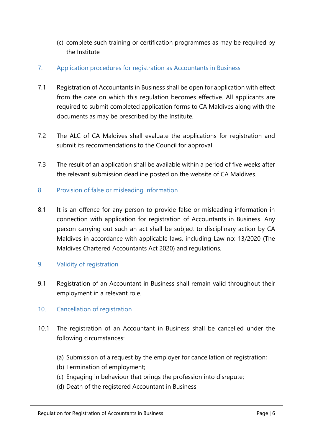- (c) complete such training or certification programmes as may be required by the Institute
- <span id="page-7-0"></span>7. Application procedures for registration as Accountants in Business
- 7.1 Registration of Accountants in Business shall be open for application with effect from the date on which this regulation becomes effective. All applicants are required to submit completed application forms to CA Maldives along with the documents as may be prescribed by the Institute.
- 7.2 The ALC of CA Maldives shall evaluate the applications for registration and submit its recommendations to the Council for approval.
- 7.3 The result of an application shall be available within a period of five weeks after the relevant submission deadline posted on the website of CA Maldives.
- <span id="page-7-1"></span>8. Provision of false or misleading information
- 8.1 It is an offence for any person to provide false or misleading information in connection with application for registration of Accountants in Business. Any person carrying out such an act shall be subject to disciplinary action by CA Maldives in accordance with applicable laws, including Law no: 13/2020 (The Maldives Chartered Accountants Act 2020) and regulations.
- <span id="page-7-2"></span>9. Validity of registration
- 9.1 Registration of an Accountant in Business shall remain valid throughout their employment in a relevant role.
- <span id="page-7-3"></span>10. Cancellation of registration
- 10.1 The registration of an Accountant in Business shall be cancelled under the following circumstances:
	- (a) Submission of a request by the employer for cancellation of registration;
	- (b) Termination of employment;
	- (c) Engaging in behaviour that brings the profession into disrepute;
	- (d) Death of the registered Accountant in Business